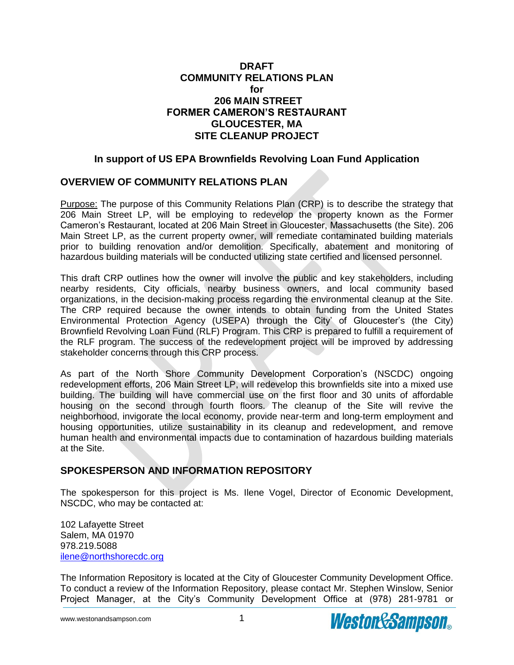## **DRAFT COMMUNITY RELATIONS PLAN for 206 MAIN STREET FORMER CAMERON'S RESTAURANT GLOUCESTER, MA SITE CLEANUP PROJECT**

## **In support of US EPA Brownfields Revolving Loan Fund Application**

## **OVERVIEW OF COMMUNITY RELATIONS PLAN**

Purpose: The purpose of this Community Relations Plan (CRP) is to describe the strategy that 206 Main Street LP, will be employing to redevelop the property known as the Former Cameron's Restaurant, located at 206 Main Street in Gloucester, Massachusetts (the Site). 206 Main Street LP, as the current property owner, will remediate contaminated building materials prior to building renovation and/or demolition. Specifically, abatement and monitoring of hazardous building materials will be conducted utilizing state certified and licensed personnel.

This draft CRP outlines how the owner will involve the public and key stakeholders, including nearby residents, City officials, nearby business owners, and local community based organizations, in the decision-making process regarding the environmental cleanup at the Site. The CRP required because the owner intends to obtain funding from the United States Environmental Protection Agency (USEPA) through the City' of Gloucester's (the City) Brownfield Revolving Loan Fund (RLF) Program. This CRP is prepared to fulfill a requirement of the RLF program. The success of the redevelopment project will be improved by addressing stakeholder concerns through this CRP process.

As part of the North Shore Community Development Corporation's (NSCDC) ongoing redevelopment efforts, 206 Main Street LP, will redevelop this brownfields site into a mixed use building. The building will have commercial use on the first floor and 30 units of affordable housing on the second through fourth floors. The cleanup of the Site will revive the neighborhood, invigorate the local economy, provide near-term and long-term employment and housing opportunities, utilize sustainability in its cleanup and redevelopment, and remove human health and environmental impacts due to contamination of hazardous building materials at the Site.

# **SPOKESPERSON AND INFORMATION REPOSITORY**

The spokesperson for this project is Ms. Ilene Vogel, Director of Economic Development, NSCDC, who may be contacted at:

102 Lafayette Street Salem, MA 01970 978.219.5088 [ilene@northshorecdc.](mailto:ilene@northshorecdc)org

The Information Repository is located at the City of Gloucester Community Development Office. To conduct a review of the Information Repository, please contact Mr. Stephen Winslow, Senior Project Manager, at the City's Community Development Office at (978) 281-9781 or

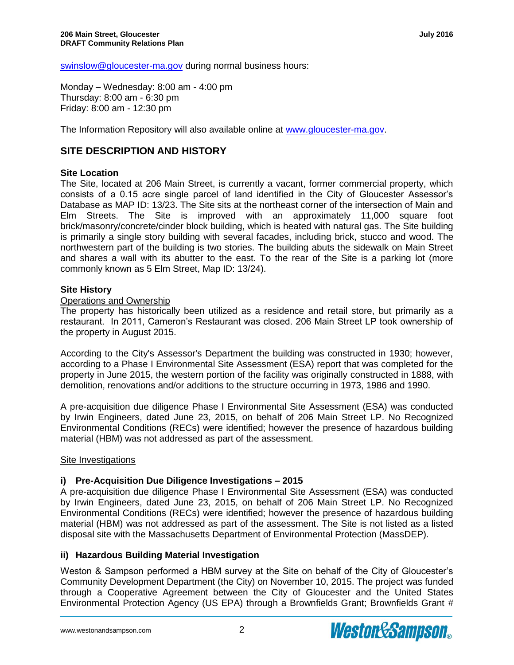swinslow@gloucester-ma.gov during normal business hours:

Monday – Wednesday: 8:00 am - 4:00 pm Thursday: 8:00 am - 6:30 pm Friday: 8:00 am - 12:30 pm

The Information Repository will also available online at [www.gloucester-ma.gov.](file:///C:/Users/JFERRARI/AppData/Local/Microsoft/Windows/Temporary%20Internet%20Files/Content.Outlook/48NLE254/www.gloucester-ma.gov)

# **SITE DESCRIPTION AND HISTORY**

### **Site Location**

The Site, located at 206 Main Street, is currently a vacant, former commercial property, which consists of a 0.15 acre single parcel of land identified in the City of Gloucester Assessor's Database as MAP ID: 13/23. The Site sits at the northeast corner of the intersection of Main and Elm Streets. The Site is improved with an approximately 11,000 square foot brick/masonry/concrete/cinder block building, which is heated with natural gas. The Site building is primarily a single story building with several facades, including brick, stucco and wood. The northwestern part of the building is two stories. The building abuts the sidewalk on Main Street and shares a wall with its abutter to the east. To the rear of the Site is a parking lot (more commonly known as 5 Elm Street, Map ID: 13/24).

#### **Site History**

#### Operations and Ownership

The property has historically been utilized as a residence and retail store, but primarily as a restaurant. In 2011, Cameron's Restaurant was closed. 206 Main Street LP took ownership of the property in August 2015.

According to the City's Assessor's Department the building was constructed in 1930; however, according to a Phase I Environmental Site Assessment (ESA) report that was completed for the property in June 2015, the western portion of the facility was originally constructed in 1888, with demolition, renovations and/or additions to the structure occurring in 1973, 1986 and 1990.

A pre-acquisition due diligence Phase I Environmental Site Assessment (ESA) was conducted by Irwin Engineers, dated June 23, 2015, on behalf of 206 Main Street LP. No Recognized Environmental Conditions (RECs) were identified; however the presence of hazardous building material (HBM) was not addressed as part of the assessment.

#### Site Investigations

### **i) Pre-Acquisition Due Diligence Investigations – 2015**

A pre-acquisition due diligence Phase I Environmental Site Assessment (ESA) was conducted by Irwin Engineers, dated June 23, 2015, on behalf of 206 Main Street LP. No Recognized Environmental Conditions (RECs) were identified; however the presence of hazardous building material (HBM) was not addressed as part of the assessment. The Site is not listed as a listed disposal site with the Massachusetts Department of Environmental Protection (MassDEP).

### **ii) Hazardous Building Material Investigation**

Weston & Sampson performed a HBM survey at the Site on behalf of the City of Gloucester's Community Development Department (the City) on November 10, 2015. The project was funded through a Cooperative Agreement between the City of Gloucester and the United States Environmental Protection Agency (US EPA) through a Brownfields Grant; Brownfields Grant #

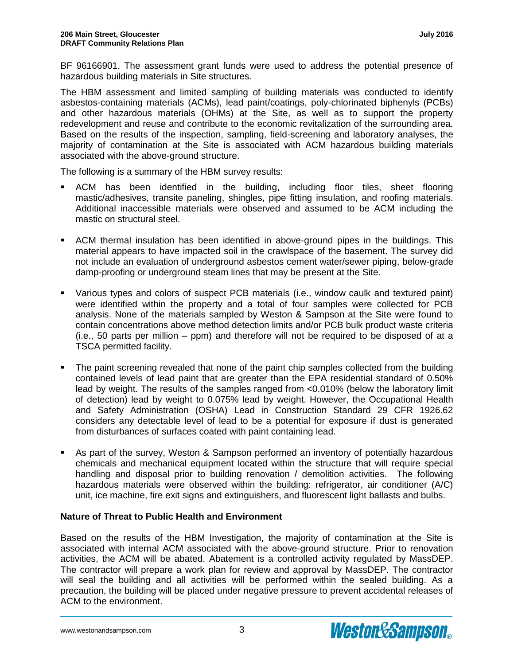BF 96166901. The assessment grant funds were used to address the potential presence of hazardous building materials in Site structures.

The HBM assessment and limited sampling of building materials was conducted to identify asbestos-containing materials (ACMs), lead paint/coatings, poly-chlorinated biphenyls (PCBs) and other hazardous materials (OHMs) at the Site, as well as to support the property redevelopment and reuse and contribute to the economic revitalization of the surrounding area. Based on the results of the inspection, sampling, field-screening and laboratory analyses, the majority of contamination at the Site is associated with ACM hazardous building materials associated with the above-ground structure.

The following is a summary of the HBM survey results:

- ACM has been identified in the building, including floor tiles, sheet flooring mastic/adhesives, transite paneling, shingles, pipe fitting insulation, and roofing materials. Additional inaccessible materials were observed and assumed to be ACM including the mastic on structural steel.
- ACM thermal insulation has been identified in above-ground pipes in the buildings. This material appears to have impacted soil in the crawlspace of the basement. The survey did not include an evaluation of underground asbestos cement water/sewer piping, below-grade damp-proofing or underground steam lines that may be present at the Site.
- Various types and colors of suspect PCB materials (i.e., window caulk and textured paint) were identified within the property and a total of four samples were collected for PCB analysis. None of the materials sampled by Weston & Sampson at the Site were found to contain concentrations above method detection limits and/or PCB bulk product waste criteria (i.e., 50 parts per million – ppm) and therefore will not be required to be disposed of at a TSCA permitted facility.
- The paint screening revealed that none of the paint chip samples collected from the building contained levels of lead paint that are greater than the EPA residential standard of 0.50% lead by weight. The results of the samples ranged from <0.010% (below the laboratory limit of detection) lead by weight to 0.075% lead by weight. However, the Occupational Health and Safety Administration (OSHA) Lead in Construction Standard 29 CFR 1926.62 considers any detectable level of lead to be a potential for exposure if dust is generated from disturbances of surfaces coated with paint containing lead.
- As part of the survey, Weston & Sampson performed an inventory of potentially hazardous chemicals and mechanical equipment located within the structure that will require special handling and disposal prior to building renovation / demolition activities. The following hazardous materials were observed within the building: refrigerator, air conditioner (A/C) unit, ice machine, fire exit signs and extinguishers, and fluorescent light ballasts and bulbs.

### **Nature of Threat to Public Health and Environment**

Based on the results of the HBM Investigation, the majority of contamination at the Site is associated with internal ACM associated with the above-ground structure. Prior to renovation activities, the ACM will be abated. Abatement is a controlled activity regulated by MassDEP. The contractor will prepare a work plan for review and approval by MassDEP. The contractor will seal the building and all activities will be performed within the sealed building. As a precaution, the building will be placed under negative pressure to prevent accidental releases of ACM to the environment.

www.westonandsampson.com 3

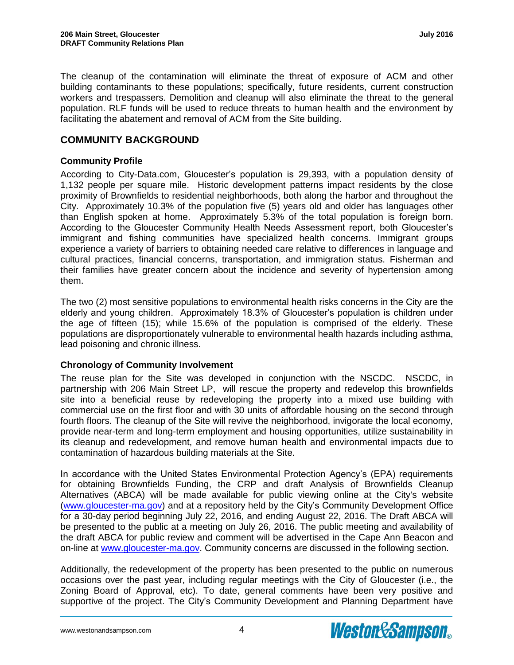The cleanup of the contamination will eliminate the threat of exposure of ACM and other building contaminants to these populations; specifically, future residents, current construction workers and trespassers. Demolition and cleanup will also eliminate the threat to the general population. RLF funds will be used to reduce threats to human health and the environment by facilitating the abatement and removal of ACM from the Site building.

# **COMMUNITY BACKGROUND**

### **Community Profile**

According to City-Data.com, Gloucester's population is 29,393, with a population density of 1,132 people per square mile. Historic development patterns impact residents by the close proximity of Brownfields to residential neighborhoods, both along the harbor and throughout the City. Approximately 10.3% of the population five (5) years old and older has languages other than English spoken at home. Approximately 5.3% of the total population is foreign born. According to the Gloucester Community Health Needs Assessment report, both Gloucester's immigrant and fishing communities have specialized health concerns. Immigrant groups experience a variety of barriers to obtaining needed care relative to differences in language and cultural practices, financial concerns, transportation, and immigration status. Fisherman and their families have greater concern about the incidence and severity of hypertension among them.

The two (2) most sensitive populations to environmental health risks concerns in the City are the elderly and young children. Approximately 18.3% of Gloucester's population is children under the age of fifteen (15); while 15.6% of the population is comprised of the elderly. These populations are disproportionately vulnerable to environmental health hazards including asthma, lead poisoning and chronic illness.

### **Chronology of Community Involvement**

The reuse plan for the Site was developed in conjunction with the NSCDC. NSCDC, in partnership with 206 Main Street LP, will rescue the property and redevelop this brownfields site into a beneficial reuse by redeveloping the property into a mixed use building with commercial use on the first floor and with 30 units of affordable housing on the second through fourth floors. The cleanup of the Site will revive the neighborhood, invigorate the local economy, provide near-term and long-term employment and housing opportunities, utilize sustainability in its cleanup and redevelopment, and remove human health and environmental impacts due to contamination of hazardous building materials at the Site.

In accordance with the United States Environmental Protection Agency's (EPA) requirements for obtaining Brownfields Funding, the CRP and draft Analysis of Brownfields Cleanup Alternatives (ABCA) will be made available for public viewing online at the City's website [\(www.gloucester-ma.gov\)](file:///C:/Users/JFERRARI/AppData/Local/Microsoft/Windows/Temporary%20Internet%20Files/Content.Outlook/48NLE254/www.gloucester-ma.gov) and at a repository held by the City's Community Development Office for a 30-day period beginning July 22, 2016, and ending August 22, 2016. The Draft ABCA will be presented to the public at a meeting on July 26, 2016. The public meeting and availability of the draft ABCA for public review and comment will be advertised in the Cape Ann Beacon and on-line at [www.gloucester-ma.gov.](file:///C:/Users/JFERRARI/AppData/Local/Microsoft/Windows/Temporary%20Internet%20Files/Content.Outlook/48NLE254/www.gloucester-ma.gov) Community concerns are discussed in the following section.

Additionally, the redevelopment of the property has been presented to the public on numerous occasions over the past year, including regular meetings with the City of Gloucester (i.e., the Zoning Board of Approval, etc). To date, general comments have been very positive and supportive of the project. The City's Community Development and Planning Department have

www.westonandsampson.com 4